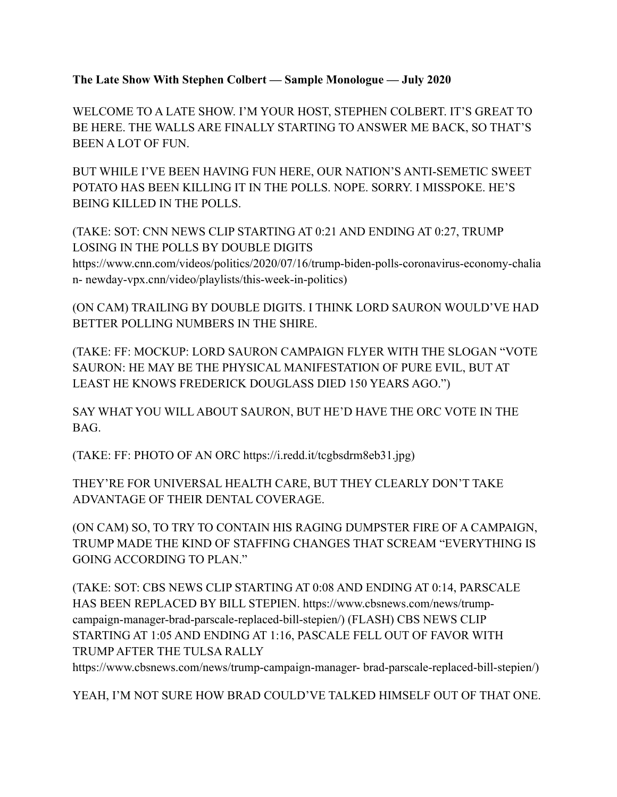**The Late Show With Stephen Colbert — Sample Monologue — July 2020**

WELCOME TO A LATE SHOW. I'M YOUR HOST, STEPHEN COLBERT. IT'S GREAT TO BE HERE. THE WALLS ARE FINALLY STARTING TO ANSWER ME BACK, SO THAT'S BEEN A LOT OF FUN.

BUT WHILE I'VE BEEN HAVING FUN HERE, OUR NATION'S ANTI-SEMETIC SWEET POTATO HAS BEEN KILLING IT IN THE POLLS. NOPE. SORRY. I MISSPOKE. HE'S BEING KILLED IN THE POLLS.

(TAKE: SOT: CNN NEWS CLIP STARTING AT 0:21 AND ENDING AT 0:27, TRUMP LOSING IN THE POLLS BY DOUBLE DIGITS

https://www.cnn.com/videos/politics/2020/07/16/trump-biden-polls-coronavirus-economy-chalia n- newday-vpx.cnn/video/playlists/this-week-in-politics)

(ON CAM) TRAILING BY DOUBLE DIGITS. I THINK LORD SAURON WOULD'VE HAD BETTER POLLING NUMBERS IN THE SHIRE.

(TAKE: FF: MOCKUP: LORD SAURON CAMPAIGN FLYER WITH THE SLOGAN "VOTE SAURON: HE MAY BE THE PHYSICAL MANIFESTATION OF PURE EVIL, BUT AT LEAST HE KNOWS FREDERICK DOUGLASS DIED 150 YEARS AGO.")

SAY WHAT YOU WILL ABOUT SAURON, BUT HE'D HAVE THE ORC VOTE IN THE BAG.

(TAKE: FF: PHOTO OF AN ORC https://i.redd.it/tcgbsdrm8eb31.jpg)

THEY'RE FOR UNIVERSAL HEALTH CARE, BUT THEY CLEARLY DON'T TAKE ADVANTAGE OF THEIR DENTAL COVERAGE.

(ON CAM) SO, TO TRY TO CONTAIN HIS RAGING DUMPSTER FIRE OF A CAMPAIGN, TRUMP MADE THE KIND OF STAFFING CHANGES THAT SCREAM "EVERYTHING IS GOING ACCORDING TO PLAN."

(TAKE: SOT: CBS NEWS CLIP STARTING AT 0:08 AND ENDING AT 0:14, PARSCALE HAS BEEN REPLACED BY BILL STEPIEN. https://www.cbsnews.com/news/trumpcampaign-manager-brad-parscale-replaced-bill-stepien/) (FLASH) CBS NEWS CLIP STARTING AT 1:05 AND ENDING AT 1:16, PASCALE FELL OUT OF FAVOR WITH TRUMP AFTER THE TULSA RALLY

https://www.cbsnews.com/news/trump-campaign-manager- brad-parscale-replaced-bill-stepien/)

YEAH, I'M NOT SURE HOW BRAD COULD'VE TALKED HIMSELF OUT OF THAT ONE.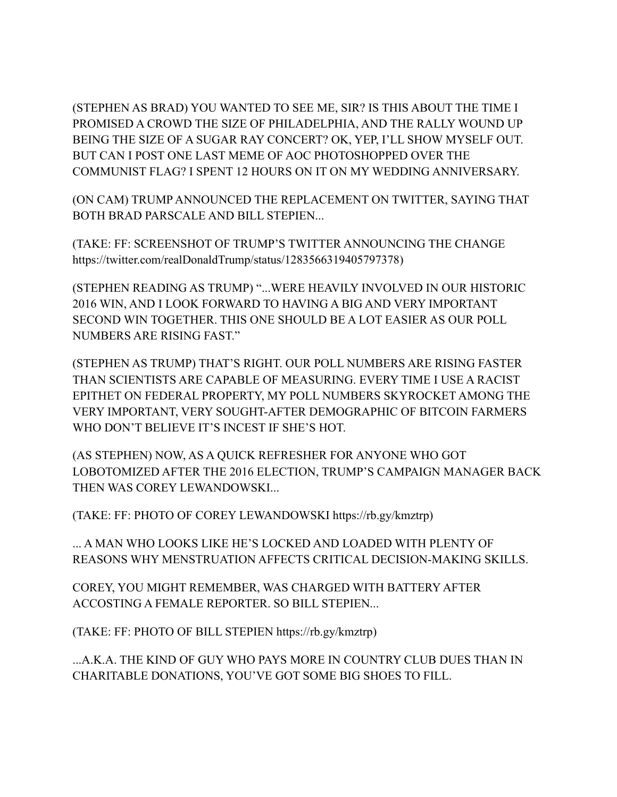(STEPHEN AS BRAD) YOU WANTED TO SEE ME, SIR? IS THIS ABOUT THE TIME I PROMISED A CROWD THE SIZE OF PHILADELPHIA, AND THE RALLY WOUND UP BEING THE SIZE OF A SUGAR RAY CONCERT? OK, YEP, I'LL SHOW MYSELF OUT. BUT CAN I POST ONE LAST MEME OF AOC PHOTOSHOPPED OVER THE COMMUNIST FLAG? I SPENT 12 HOURS ON IT ON MY WEDDING ANNIVERSARY.

(ON CAM) TRUMP ANNOUNCED THE REPLACEMENT ON TWITTER, SAYING THAT BOTH BRAD PARSCALE AND BILL STEPIEN...

(TAKE: FF: SCREENSHOT OF TRUMP'S TWITTER ANNOUNCING THE CHANGE https://twitter.com/realDonaldTrump/status/1283566319405797378)

(STEPHEN READING AS TRUMP) "...WERE HEAVILY INVOLVED IN OUR HISTORIC 2016 WIN, AND I LOOK FORWARD TO HAVING A BIG AND VERY IMPORTANT SECOND WIN TOGETHER. THIS ONE SHOULD BE A LOT EASIER AS OUR POLL NUMBERS ARE RISING FAST."

(STEPHEN AS TRUMP) THAT'S RIGHT. OUR POLL NUMBERS ARE RISING FASTER THAN SCIENTISTS ARE CAPABLE OF MEASURING. EVERY TIME I USE A RACIST EPITHET ON FEDERAL PROPERTY, MY POLL NUMBERS SKYROCKET AMONG THE VERY IMPORTANT, VERY SOUGHT-AFTER DEMOGRAPHIC OF BITCOIN FARMERS WHO DON'T BELIEVE IT'S INCEST IF SHE'S HOT.

(AS STEPHEN) NOW, AS A QUICK REFRESHER FOR ANYONE WHO GOT LOBOTOMIZED AFTER THE 2016 ELECTION, TRUMP'S CAMPAIGN MANAGER BACK THEN WAS COREY LEWANDOWSKI...

(TAKE: FF: PHOTO OF COREY LEWANDOWSKI https://rb.gy/kmztrp)

... A MAN WHO LOOKS LIKE HE'S LOCKED AND LOADED WITH PLENTY OF REASONS WHY MENSTRUATION AFFECTS CRITICAL DECISION-MAKING SKILLS.

COREY, YOU MIGHT REMEMBER, WAS CHARGED WITH BATTERY AFTER ACCOSTING A FEMALE REPORTER. SO BILL STEPIEN...

(TAKE: FF: PHOTO OF BILL STEPIEN https://rb.gy/kmztrp)

...A.K.A. THE KIND OF GUY WHO PAYS MORE IN COUNTRY CLUB DUES THAN IN CHARITABLE DONATIONS, YOU'VE GOT SOME BIG SHOES TO FILL.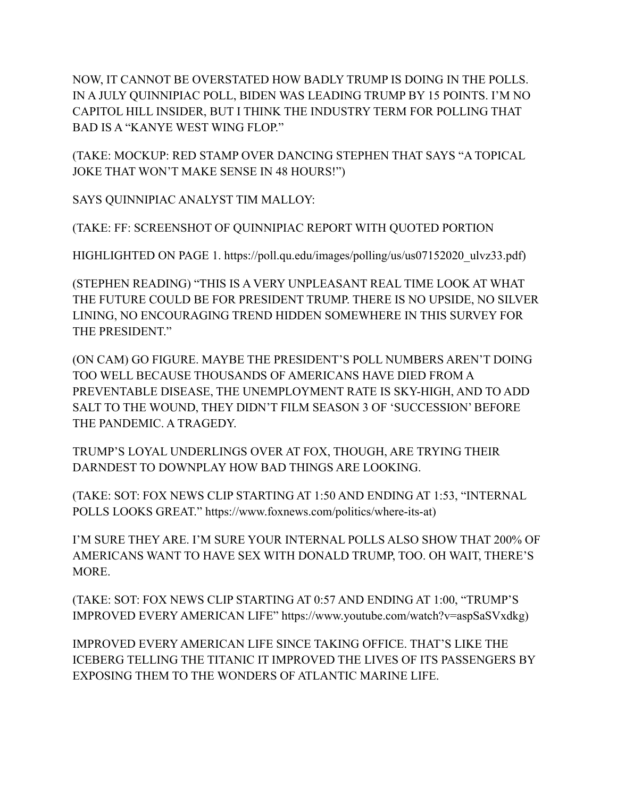NOW, IT CANNOT BE OVERSTATED HOW BADLY TRUMP IS DOING IN THE POLLS. IN A JULY QUINNIPIAC POLL, BIDEN WAS LEADING TRUMP BY 15 POINTS. I'M NO CAPITOL HILL INSIDER, BUT I THINK THE INDUSTRY TERM FOR POLLING THAT BAD IS A "KANYE WEST WING FLOP."

(TAKE: MOCKUP: RED STAMP OVER DANCING STEPHEN THAT SAYS "A TOPICAL JOKE THAT WON'T MAKE SENSE IN 48 HOURS!")

SAYS QUINNIPIAC ANALYST TIM MALLOY:

(TAKE: FF: SCREENSHOT OF QUINNIPIAC REPORT WITH QUOTED PORTION

HIGHLIGHTED ON PAGE 1. https://poll.qu.edu/images/polling/us/us07152020\_ulvz33.pdf)

(STEPHEN READING) "THIS IS A VERY UNPLEASANT REAL TIME LOOK AT WHAT THE FUTURE COULD BE FOR PRESIDENT TRUMP. THERE IS NO UPSIDE, NO SILVER LINING, NO ENCOURAGING TREND HIDDEN SOMEWHERE IN THIS SURVEY FOR THE PRESIDENT."

(ON CAM) GO FIGURE. MAYBE THE PRESIDENT'S POLL NUMBERS AREN'T DOING TOO WELL BECAUSE THOUSANDS OF AMERICANS HAVE DIED FROM A PREVENTABLE DISEASE, THE UNEMPLOYMENT RATE IS SKY-HIGH, AND TO ADD SALT TO THE WOUND, THEY DIDN'T FILM SEASON 3 OF 'SUCCESSION' BEFORE THE PANDEMIC. A TRAGEDY.

TRUMP'S LOYAL UNDERLINGS OVER AT FOX, THOUGH, ARE TRYING THEIR DARNDEST TO DOWNPLAY HOW BAD THINGS ARE LOOKING.

(TAKE: SOT: FOX NEWS CLIP STARTING AT 1:50 AND ENDING AT 1:53, "INTERNAL POLLS LOOKS GREAT." https://www.foxnews.com/politics/where-its-at)

I'M SURE THEY ARE. I'M SURE YOUR INTERNAL POLLS ALSO SHOW THAT 200% OF AMERICANS WANT TO HAVE SEX WITH DONALD TRUMP, TOO. OH WAIT, THERE'S MORE.

(TAKE: SOT: FOX NEWS CLIP STARTING AT 0:57 AND ENDING AT 1:00, "TRUMP'S IMPROVED EVERY AMERICAN LIFE" https://www.youtube.com/watch?v=aspSaSVxdkg)

IMPROVED EVERY AMERICAN LIFE SINCE TAKING OFFICE. THAT'S LIKE THE ICEBERG TELLING THE TITANIC IT IMPROVED THE LIVES OF ITS PASSENGERS BY EXPOSING THEM TO THE WONDERS OF ATLANTIC MARINE LIFE.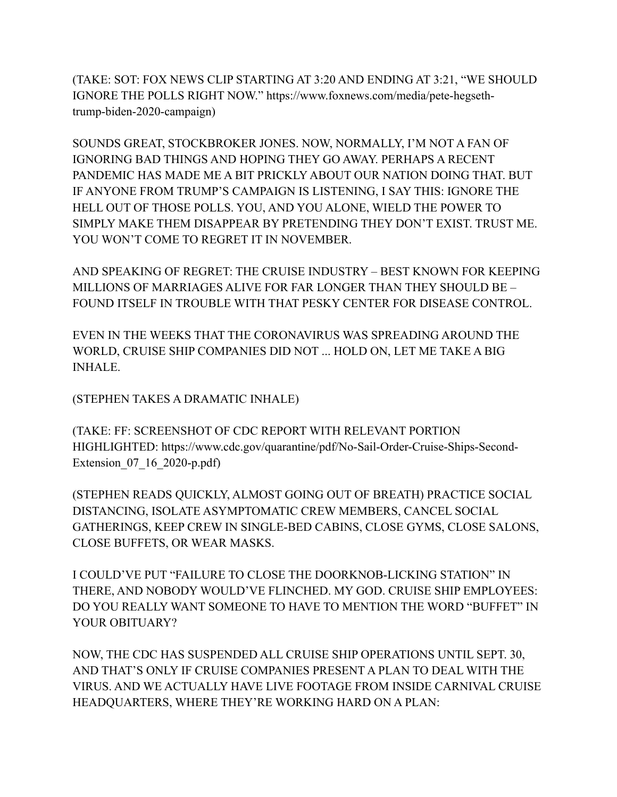(TAKE: SOT: FOX NEWS CLIP STARTING AT 3:20 AND ENDING AT 3:21, "WE SHOULD IGNORE THE POLLS RIGHT NOW." https://www.foxnews.com/media/pete-hegsethtrump-biden-2020-campaign)

SOUNDS GREAT, STOCKBROKER JONES. NOW, NORMALLY, I'M NOT A FAN OF IGNORING BAD THINGS AND HOPING THEY GO AWAY. PERHAPS A RECENT PANDEMIC HAS MADE ME A BIT PRICKLY ABOUT OUR NATION DOING THAT. BUT IF ANYONE FROM TRUMP'S CAMPAIGN IS LISTENING, I SAY THIS: IGNORE THE HELL OUT OF THOSE POLLS. YOU, AND YOU ALONE, WIELD THE POWER TO SIMPLY MAKE THEM DISAPPEAR BY PRETENDING THEY DON'T EXIST. TRUST ME. YOU WON'T COME TO REGRET IT IN NOVEMBER.

AND SPEAKING OF REGRET: THE CRUISE INDUSTRY – BEST KNOWN FOR KEEPING MILLIONS OF MARRIAGES ALIVE FOR FAR LONGER THAN THEY SHOULD BE – FOUND ITSELF IN TROUBLE WITH THAT PESKY CENTER FOR DISEASE CONTROL.

EVEN IN THE WEEKS THAT THE CORONAVIRUS WAS SPREADING AROUND THE WORLD, CRUISE SHIP COMPANIES DID NOT ... HOLD ON, LET ME TAKE A BIG **INHALE** 

(STEPHEN TAKES A DRAMATIC INHALE)

(TAKE: FF: SCREENSHOT OF CDC REPORT WITH RELEVANT PORTION HIGHLIGHTED: https://www.cdc.gov/quarantine/pdf/No-Sail-Order-Cruise-Ships-Second-Extension\_07\_16\_2020-p.pdf)

(STEPHEN READS QUICKLY, ALMOST GOING OUT OF BREATH) PRACTICE SOCIAL DISTANCING, ISOLATE ASYMPTOMATIC CREW MEMBERS, CANCEL SOCIAL GATHERINGS, KEEP CREW IN SINGLE-BED CABINS, CLOSE GYMS, CLOSE SALONS, CLOSE BUFFETS, OR WEAR MASKS.

I COULD'VE PUT "FAILURE TO CLOSE THE DOORKNOB-LICKING STATION" IN THERE, AND NOBODY WOULD'VE FLINCHED. MY GOD. CRUISE SHIP EMPLOYEES: DO YOU REALLY WANT SOMEONE TO HAVE TO MENTION THE WORD "BUFFET" IN YOUR OBITUARY?

NOW, THE CDC HAS SUSPENDED ALL CRUISE SHIP OPERATIONS UNTIL SEPT. 30, AND THAT'S ONLY IF CRUISE COMPANIES PRESENT A PLAN TO DEAL WITH THE VIRUS. AND WE ACTUALLY HAVE LIVE FOOTAGE FROM INSIDE CARNIVAL CRUISE HEADQUARTERS, WHERE THEY'RE WORKING HARD ON A PLAN: